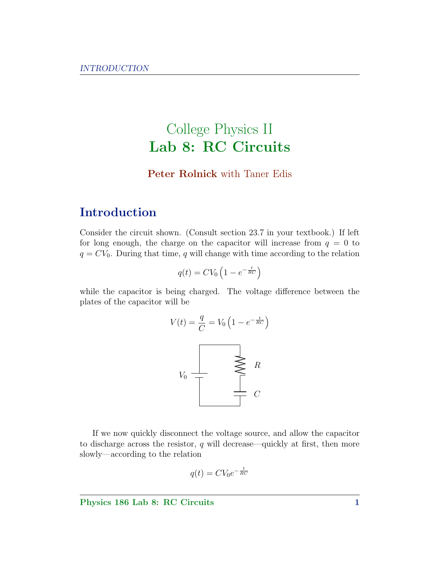# College Physics II Lab 8: RC Circuits

#### Peter Rolnick with Taner Edis

## Introduction

Consider the circuit shown. (Consult section 23.7 in your textbook.) If left for long enough, the charge on the capacitor will increase from  $q = 0$  to  $q = CV_0$ . During that time, q will change with time according to the relation

$$
q(t) = CV_0 \left( 1 - e^{-\frac{t}{RC}} \right)
$$

while the capacitor is being charged. The voltage difference between the plates of the capacitor will be



If we now quickly disconnect the voltage source, and allow the capacitor to discharge across the resistor,  $q$  will decrease—quickly at first, then more slowly—according to the relation

$$
q(t) = CV_0 e^{-\frac{t}{RC}}
$$

Physics 186 Lab 8: RC Circuits 1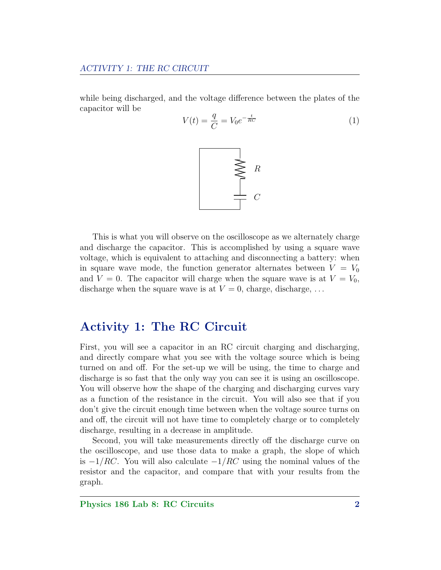while being discharged, and the voltage difference between the plates of the capacitor will be

<span id="page-1-0"></span>
$$
V(t) = \frac{q}{C} = V_0 e^{-\frac{t}{RC}}
$$
\n
$$
\tag{1}
$$



This is what you will observe on the oscilloscope as we alternately charge and discharge the capacitor. This is accomplished by using a square wave voltage, which is equivalent to attaching and disconnecting a battery: when in square wave mode, the function generator alternates between  $V = V_0$ and  $V = 0$ . The capacitor will charge when the square wave is at  $V = V_0$ , discharge when the square wave is at  $V = 0$ , charge, discharge, ...

### Activity 1: The RC Circuit

First, you will see a capacitor in an RC circuit charging and discharging, and directly compare what you see with the voltage source which is being turned on and off. For the set-up we will be using, the time to charge and discharge is so fast that the only way you can see it is using an oscilloscope. You will observe how the shape of the charging and discharging curves vary as a function of the resistance in the circuit. You will also see that if you don't give the circuit enough time between when the voltage source turns on and off, the circuit will not have time to completely charge or to completely discharge, resulting in a decrease in amplitude.

Second, you will take measurements directly off the discharge curve on the oscilloscope, and use those data to make a graph, the slope of which is  $-1/RC$ . You will also calculate  $-1/RC$  using the nominal values of the resistor and the capacitor, and compare that with your results from the graph.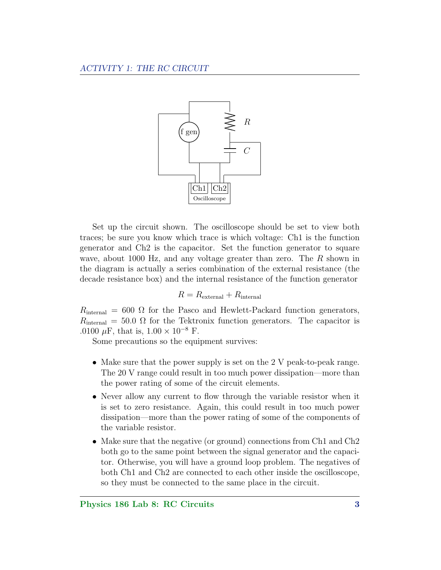

Set up the circuit shown. The oscilloscope should be set to view both traces; be sure you know which trace is which voltage: Ch1 is the function generator and Ch2 is the capacitor. Set the function generator to square wave, about 1000 Hz, and any voltage greater than zero. The R shown in the diagram is actually a series combination of the external resistance (the decade resistance box) and the internal resistance of the function generator

$$
R = R_{\text{external}} + R_{\text{internal}}
$$

 $R_{\text{internal}} = 600 \Omega$  for the Pasco and Hewlett-Packard function generators,  $R_{\text{internal}} = 50.0 \Omega$  for the Tektronix function generators. The capacitor is .0100  $\mu$ F, that is, 1.00 × 10<sup>-8</sup> F.

Some precautions so the equipment survives:

- Make sure that the power supply is set on the 2 V peak-to-peak range. The 20 V range could result in too much power dissipation—more than the power rating of some of the circuit elements.
- Never allow any current to flow through the variable resistor when it is set to zero resistance. Again, this could result in too much power dissipation—more than the power rating of some of the components of the variable resistor.
- Make sure that the negative (or ground) connections from Ch<sub>1</sub> and Ch<sub>2</sub> both go to the same point between the signal generator and the capacitor. Otherwise, you will have a ground loop problem. The negatives of both Ch1 and Ch2 are connected to each other inside the oscilloscope, so they must be connected to the same place in the circuit.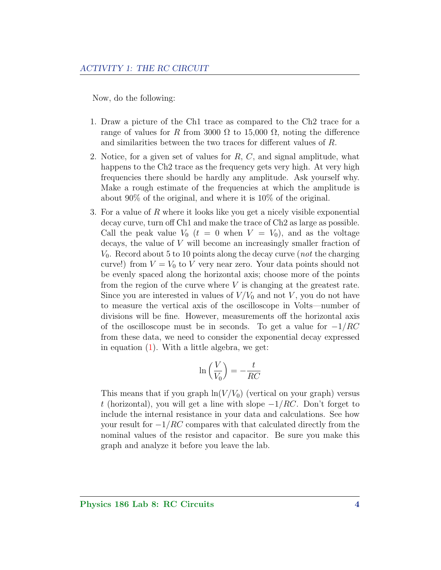Now, do the following:

- 1. Draw a picture of the Ch1 trace as compared to the Ch2 trace for a range of values for R from 3000  $\Omega$  to 15,000  $\Omega$ , noting the difference and similarities between the two traces for different values of R.
- 2. Notice, for a given set of values for R, C, and signal amplitude, what happens to the Ch<sub>2</sub> trace as the frequency gets very high. At very high frequencies there should be hardly any amplitude. Ask yourself why. Make a rough estimate of the frequencies at which the amplitude is about 90% of the original, and where it is 10% of the original.
- 3. For a value of R where it looks like you get a nicely visible exponential decay curve, turn off Ch1 and make the trace of Ch2 as large as possible. Call the peak value  $V_0$   $(t = 0$  when  $V = V_0$ , and as the voltage decays, the value of V will become an increasingly smaller fraction of  $V_0$ . Record about 5 to 10 points along the decay curve (*not* the charging curve!) from  $V = V_0$  to V very near zero. Your data points should not be evenly spaced along the horizontal axis; choose more of the points from the region of the curve where  $V$  is changing at the greatest rate. Since you are interested in values of  $V/V_0$  and not V, you do not have to measure the vertical axis of the oscilloscope in Volts—number of divisions will be fine. However, measurements off the horizontal axis of the oscilloscope must be in seconds. To get a value for  $-1/RC$ from these data, we need to consider the exponential decay expressed in equation [\(1\)](#page-1-0). With a little algebra, we get:

$$
\ln\left(\frac{V}{V_0}\right)=-\frac{t}{RC}
$$

This means that if you graph  $\ln(V/V_0)$  (vertical on your graph) versus t (horizontal), you will get a line with slope  $-1/RC$ . Don't forget to include the internal resistance in your data and calculations. See how your result for  $-1/RC$  compares with that calculated directly from the nominal values of the resistor and capacitor. Be sure you make this graph and analyze it before you leave the lab.